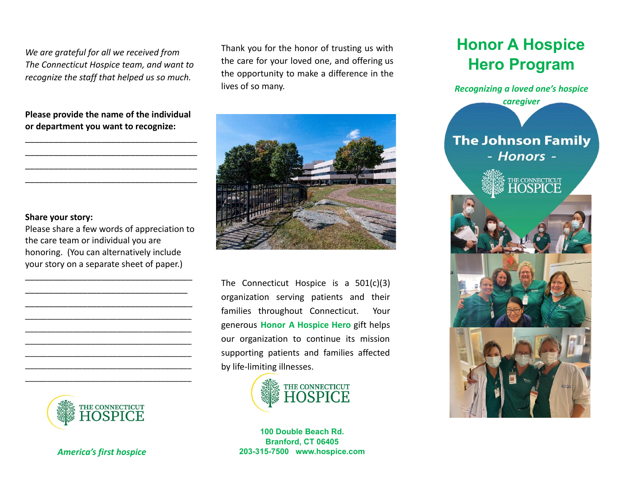*We are grateful for all we received from The Connecticut Hospice team, and want to recognize the staff that helped us so much.*

**Please provide the name of the individual or department you want to recognize:**

\_\_\_\_\_\_\_\_\_\_\_\_\_\_\_\_\_\_\_\_\_\_\_\_\_\_\_\_\_\_\_\_\_\_\_\_ \_\_\_\_\_\_\_\_\_\_\_\_\_\_\_\_\_\_\_\_\_\_\_\_\_\_\_\_\_\_\_\_\_\_\_\_ \_\_\_\_\_\_\_\_\_\_\_\_\_\_\_\_\_\_\_\_\_\_\_\_\_\_\_\_\_\_\_\_\_\_\_\_ \_\_\_\_\_\_\_\_\_\_\_\_\_\_\_\_\_\_\_\_\_\_\_\_\_\_\_\_\_\_\_\_\_\_\_\_

#### **Share your story:**

Please share a few words of appreciation to the care team or individual you are honoring. (You can alternatively include your story on a separate sheet of paper.)

\_\_\_\_\_\_\_\_\_\_\_\_\_\_\_\_\_\_\_\_\_\_\_\_\_\_\_\_\_\_\_\_\_\_\_ \_\_\_\_\_\_\_\_\_\_\_\_\_\_\_\_\_\_\_\_\_\_\_\_\_\_\_\_\_\_\_\_\_\_ \_\_\_\_\_\_\_\_\_\_\_\_\_\_\_\_\_\_\_\_\_\_\_\_\_\_\_\_\_\_\_\_\_\_\_ \_\_\_\_\_\_\_\_\_\_\_\_\_\_\_\_\_\_\_\_\_\_\_\_\_\_\_\_\_\_\_\_\_\_\_\_\_\_ \_\_\_\_\_\_\_\_\_\_\_\_\_\_\_\_\_\_\_\_\_\_\_\_\_\_\_\_\_\_\_\_\_\_\_\_\_\_ \_\_\_\_\_\_\_\_\_\_\_\_\_\_\_\_\_\_\_\_\_\_\_\_\_\_\_\_\_\_\_\_\_\_\_\_\_\_ \_\_\_\_\_\_\_\_\_\_\_\_\_\_\_\_\_\_\_\_\_\_\_\_\_\_\_\_\_\_\_\_\_\_\_\_\_\_ \_\_\_\_\_\_\_\_\_\_\_\_\_\_\_\_\_\_\_\_\_\_\_\_\_\_\_\_\_\_\_\_\_\_\_\_\_\_ \_\_\_\_\_\_\_\_\_\_\_\_\_\_\_\_\_\_\_\_\_\_\_\_\_\_\_\_\_\_\_\_\_\_\_\_\_\_



*America's first hospice*

Thank you for the honor of trusting us with the care for your loved one, and offering us the opportunity to make a difference in the lives of so many.



The Connecticut Hospice is a 501(c)(3) organization serving patients and their families throughout Connecticut. Your generous **Honor A Hospice Hero** gift helps our organization to continue its mission supporting patients and families affected by life-limiting illnesses.



**100 Double Beach Rd. Branford, CT 06405 203-315-7500 www.hospice.com**

# **Honor A Hospice Hero Program**